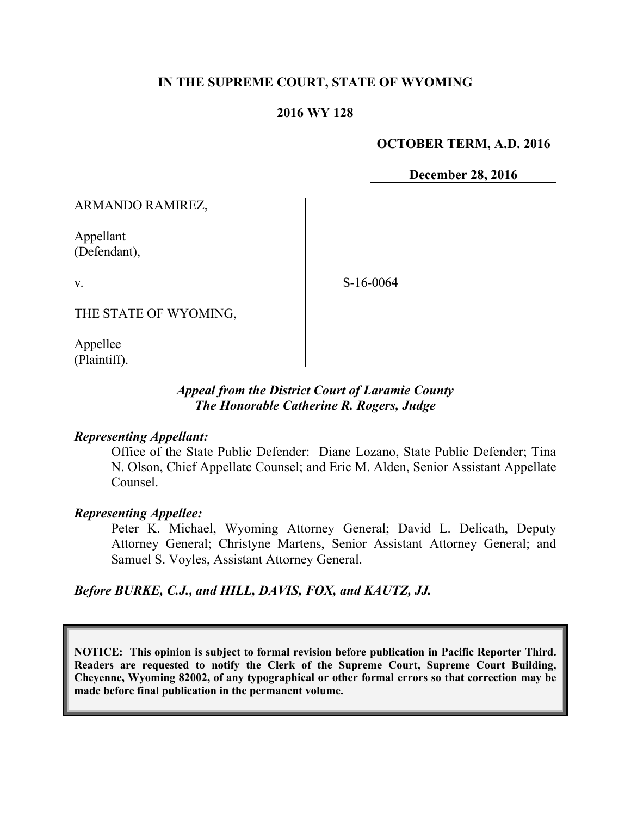## **IN THE SUPREME COURT, STATE OF WYOMING**

## **2016 WY 128**

### **OCTOBER TERM, A.D. 2016**

**December 28, 2016**

ARMANDO RAMIREZ,

Appellant (Defendant),

v.

S-16-0064

THE STATE OF WYOMING,

Appellee (Plaintiff).

## *Appeal from the District Court of Laramie County The Honorable Catherine R. Rogers, Judge*

### *Representing Appellant:*

Office of the State Public Defender: Diane Lozano, State Public Defender; Tina N. Olson, Chief Appellate Counsel; and Eric M. Alden, Senior Assistant Appellate Counsel.

#### *Representing Appellee:*

Peter K. Michael, Wyoming Attorney General; David L. Delicath, Deputy Attorney General; Christyne Martens, Senior Assistant Attorney General; and Samuel S. Voyles, Assistant Attorney General.

### *Before BURKE, C.J., and HILL, DAVIS, FOX, and KAUTZ, JJ.*

**NOTICE: This opinion is subject to formal revision before publication in Pacific Reporter Third. Readers are requested to notify the Clerk of the Supreme Court, Supreme Court Building, Cheyenne, Wyoming 82002, of any typographical or other formal errors so that correction may be made before final publication in the permanent volume.**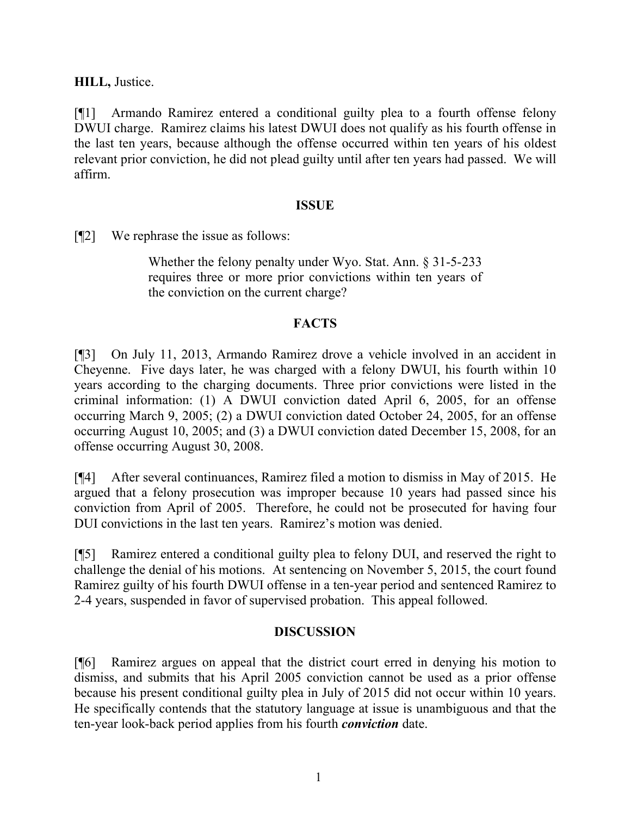**HILL,** Justice.

[¶1] Armando Ramirez entered a conditional guilty plea to a fourth offense felony DWUI charge. Ramirez claims his latest DWUI does not qualify as his fourth offense in the last ten years, because although the offense occurred within ten years of his oldest relevant prior conviction, he did not plead guilty until after ten years had passed. We will affirm.

### **ISSUE**

[¶2] We rephrase the issue as follows:

Whether the felony penalty under Wyo. Stat. Ann. § 31-5-233 requires three or more prior convictions within ten years of the conviction on the current charge?

## **FACTS**

[¶3] On July 11, 2013, Armando Ramirez drove a vehicle involved in an accident in Cheyenne. Five days later, he was charged with a felony DWUI, his fourth within 10 years according to the charging documents. Three prior convictions were listed in the criminal information: (1) A DWUI conviction dated April 6, 2005, for an offense occurring March 9, 2005; (2) a DWUI conviction dated October 24, 2005, for an offense occurring August 10, 2005; and (3) a DWUI conviction dated December 15, 2008, for an offense occurring August 30, 2008.

[¶4] After several continuances, Ramirez filed a motion to dismiss in May of 2015. He argued that a felony prosecution was improper because 10 years had passed since his conviction from April of 2005. Therefore, he could not be prosecuted for having four DUI convictions in the last ten years. Ramirez's motion was denied.

[¶5] Ramirez entered a conditional guilty plea to felony DUI, and reserved the right to challenge the denial of his motions. At sentencing on November 5, 2015, the court found Ramirez guilty of his fourth DWUI offense in a ten-year period and sentenced Ramirez to 2-4 years, suspended in favor of supervised probation. This appeal followed.

## **DISCUSSION**

[¶6] Ramirez argues on appeal that the district court erred in denying his motion to dismiss, and submits that his April 2005 conviction cannot be used as a prior offense because his present conditional guilty plea in July of 2015 did not occur within 10 years. He specifically contends that the statutory language at issue is unambiguous and that the ten-year look-back period applies from his fourth *conviction* date.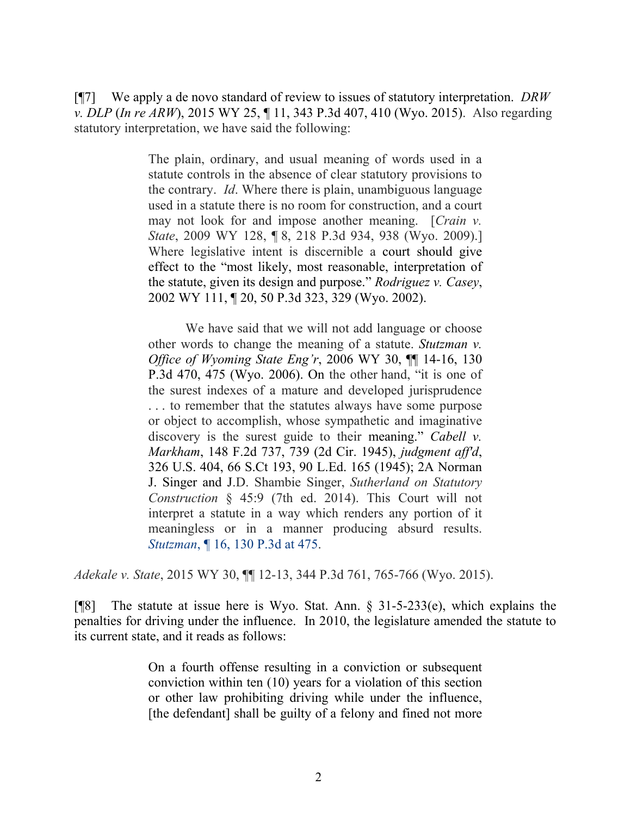[¶7] We apply a de novo standard of review to issues of statutory interpretation. *DRW v. DLP* (*In re ARW*), 2015 WY 25, ¶ 11, 343 P.3d 407, 410 (Wyo. 2015). Also regarding statutory interpretation, we have said the following:

> The plain, ordinary, and usual meaning of words used in a statute controls in the absence of clear statutory provisions to the contrary. *Id*. Where there is plain, unambiguous language used in a statute there is no room for construction, and a court may not look for and impose another meaning. [*Crain v. State*, 2009 WY 128, ¶ 8, 218 P.3d 934, 938 (Wyo. 2009).] Where legislative intent is discernible a court should give effect to the "most likely, most reasonable, interpretation of the statute, given its design and purpose." *Rodriguez v. Casey*, 2002 WY 111, ¶ 20, 50 P.3d 323, 329 (Wyo. 2002).

> We have said that we will not add language or choose other words to change the meaning of a statute. *Stutzman v. Office of Wyoming State Eng'r*, 2006 WY 30, ¶¶ 14-16, 130 P.3d 470, 475 (Wyo. 2006). On the other hand, "it is one of the surest indexes of a mature and developed jurisprudence . . . to remember that the statutes always have some purpose or object to accomplish, whose sympathetic and imaginative discovery is the surest guide to their meaning." *Cabell v. Markham*, 148 F.2d 737, 739 (2d Cir. 1945), *judgment aff'd*, 326 U.S. 404, 66 S.Ct 193, 90 L.Ed. 165 (1945); 2A Norman J. Singer and J.D. Shambie Singer, *Sutherland on Statutory Construction* § 45:9 (7th ed. 2014). This Court will not interpret a statute in a way which renders any portion of it meaningless or in a manner producing absurd results. *Stutzman*, ¶ 16, 130 P.3d at 475.

*Adekale v. State*, 2015 WY 30, ¶¶ 12-13, 344 P.3d 761, 765-766 (Wyo. 2015).

[¶8] The statute at issue here is Wyo. Stat. Ann. § 31-5-233(e), which explains the penalties for driving under the influence. In 2010, the legislature amended the statute to its current state, and it reads as follows:

> On a fourth offense resulting in a conviction or subsequent conviction within ten (10) years for a violation of this section or other law prohibiting driving while under the influence, [the defendant] shall be guilty of a felony and fined not more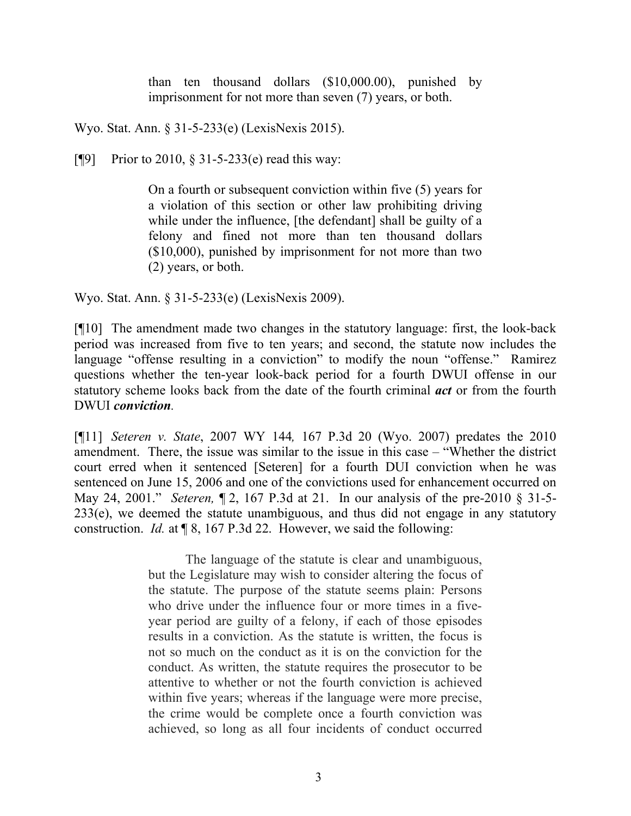than ten thousand dollars (\$10,000.00), punished by imprisonment for not more than seven (7) years, or both.

Wyo. Stat. Ann. § 31-5-233(e) (LexisNexis 2015).

[ $[$ 9] Prior to 2010, § 31-5-233(e) read this way:

On a fourth or subsequent conviction within five (5) years for a violation of this section or other law prohibiting driving while under the influence, [the defendant] shall be guilty of a felony and fined not more than ten thousand dollars (\$10,000), punished by imprisonment for not more than two (2) years, or both.

Wyo. Stat. Ann. § 31-5-233(e) (LexisNexis 2009).

[¶10] The amendment made two changes in the statutory language: first, the look-back period was increased from five to ten years; and second, the statute now includes the language "offense resulting in a conviction" to modify the noun "offense." Ramirez questions whether the ten-year look-back period for a fourth DWUI offense in our statutory scheme looks back from the date of the fourth criminal *act* or from the fourth DWUI *conviction.*

[¶11] *Seteren v. State*, 2007 WY 144*,* 167 P.3d 20 (Wyo. 2007) predates the 2010 amendment. There, the issue was similar to the issue in this case – "Whether the district court erred when it sentenced [Seteren] for a fourth DUI conviction when he was sentenced on June 15, 2006 and one of the convictions used for enhancement occurred on May 24, 2001." *Seteren,* ¶ 2, 167 P.3d at 21. In our analysis of the pre-2010 § 31-5- 233(e), we deemed the statute unambiguous, and thus did not engage in any statutory construction. *Id.* at ¶ 8, 167 P.3d 22. However, we said the following:

> The language of the statute is clear and unambiguous, but the Legislature may wish to consider altering the focus of the statute. The purpose of the statute seems plain: Persons who drive under the influence four or more times in a fiveyear period are guilty of a felony, if each of those episodes results in a conviction. As the statute is written, the focus is not so much on the conduct as it is on the conviction for the conduct. As written, the statute requires the prosecutor to be attentive to whether or not the fourth conviction is achieved within five years; whereas if the language were more precise, the crime would be complete once a fourth conviction was achieved, so long as all four incidents of conduct occurred